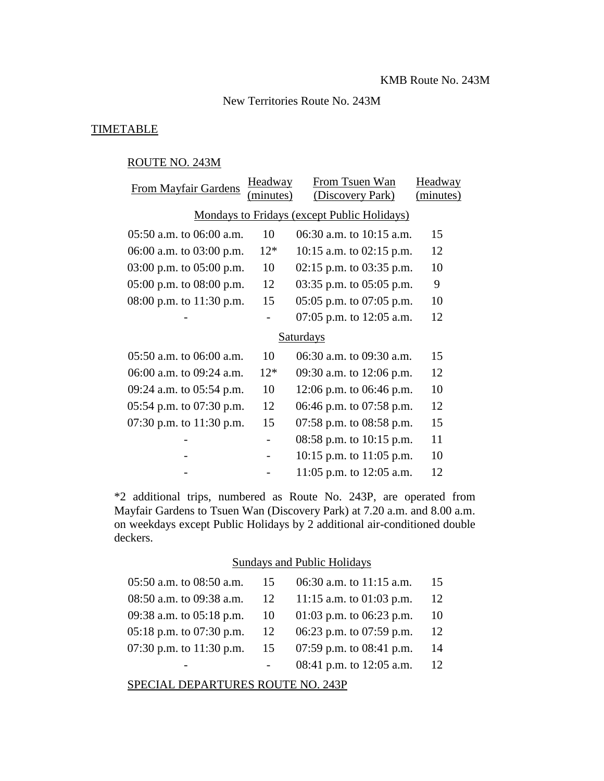#### New Territories Route No. 243M

### **TIMETABLE**

### ROUTE NO. 243M

| From Mayfair Gardens                        | Headway   | From Tsuen Wan               | Headway   |  |
|---------------------------------------------|-----------|------------------------------|-----------|--|
|                                             | (minutes) | (Discovery Park)             | (minutes) |  |
| Mondays to Fridays (except Public Holidays) |           |                              |           |  |
| $05:50$ a.m. to $06:00$ a.m.                | 10        | 06:30 a.m. to 10:15 a.m.     | 15        |  |
| 06:00 a.m. to 03:00 p.m.                    | $12*$     | $10:15$ a.m. to $02:15$ p.m. | 12        |  |
| 03:00 p.m. to 05:00 p.m.                    | 10        | $02:15$ p.m. to $03:35$ p.m. | 10        |  |
| $05:00$ p.m. to $08:00$ p.m.                | 12        | 03:35 p.m. to $05:05$ p.m.   | 9         |  |
| 08:00 p.m. to 11:30 p.m.                    | 15        | $05:05$ p.m. to $07:05$ p.m. | 10        |  |
|                                             |           | 07:05 p.m. to $12:05$ a.m.   | 12        |  |
| Saturdays                                   |           |                              |           |  |
| $05:50$ a.m. to $06:00$ a.m.                | 10        | 06:30 a.m. to 09:30 a.m.     | 15        |  |
| 06:00 a.m. to 09:24 a.m.                    | $12*$     | 09:30 a.m. to 12:06 p.m.     | 12        |  |
| 09:24 a.m. to 05:54 p.m.                    | 10        | 12:06 p.m. to $06:46$ p.m.   | 10        |  |
| 05:54 p.m. to $07:30$ p.m.                  | 12        | 06:46 p.m. to 07:58 p.m.     | 12        |  |
| 07:30 p.m. to 11:30 p.m.                    | 15        | 07:58 p.m. to $08:58$ p.m.   | 15        |  |
|                                             |           | 08:58 p.m. to $10:15$ p.m.   | 11        |  |
|                                             |           | $10:15$ p.m. to $11:05$ p.m. | 10        |  |
|                                             |           | 11:05 p.m. to 12:05 a.m.     | 12        |  |

\*2 additional trips, numbered as Route No. 243P, are operated from Mayfair Gardens to Tsuen Wan (Discovery Park) at 7.20 a.m. and 8.00 a.m. on weekdays except Public Holidays by 2 additional air-conditioned double deckers.

#### Sundays and Public Holidays

| $05:50$ a.m. to $08:50$ a.m.  | 15 | 06:30 a.m. to 11:15 a.m.   | 15 |
|-------------------------------|----|----------------------------|----|
| $08:50$ a.m. to $09:38$ a.m.  | 12 | 11:15 a.m. to $01:03$ p.m. | 12 |
| 09:38 a.m. to 05:18 p.m. $10$ |    | 01:03 p.m. to 06:23 p.m.   | 10 |
| $05:18$ p.m. to 07:30 p.m. 12 |    | 06:23 p.m. to 07:59 p.m.   | 12 |
| 07:30 p.m. to $11:30$ p.m. 15 |    | 07:59 p.m. to 08:41 p.m.   | 14 |
|                               |    | 08:41 p.m. to $12:05$ a.m. | 12 |
|                               |    |                            |    |

SPECIAL DEPARTURES ROUTE NO. 243P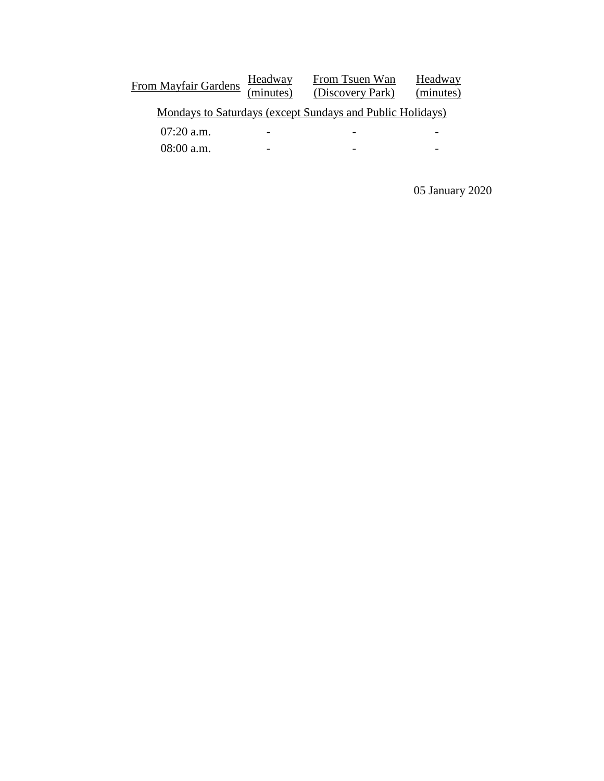From Mayfair Gardens Headway<br>(minutes) From Tsuen Wan (Discovery Park) **Headway** (minutes) Mondays to Saturdays (except Sundays and Public Holidays) 07:20 a.m. - - - 08:00 a.m. - - -

05 January 2020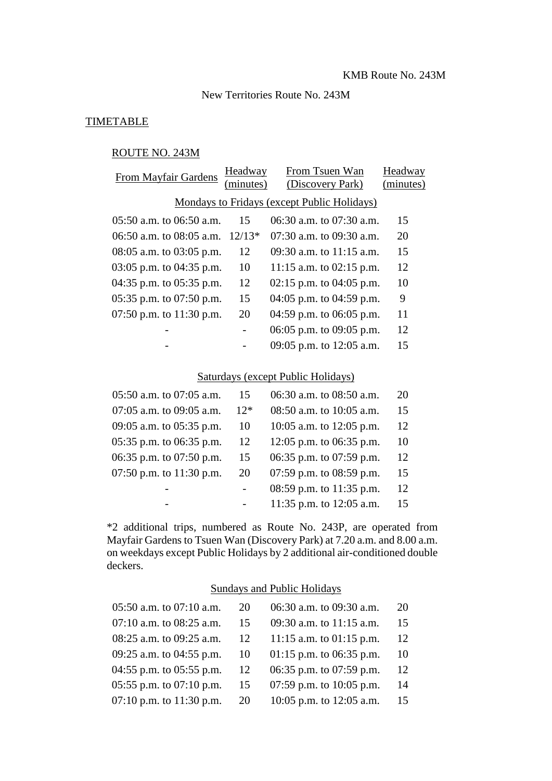### New Territories Route No. 243M

### **TIMETABLE**

## ROUTE NO. 243M

| Headway<br>(minutes)                        | From Tsuen Wan<br>(Discovery Park) | Headway<br>(minutes) |  |  |
|---------------------------------------------|------------------------------------|----------------------|--|--|
| Mondays to Fridays (except Public Holidays) |                                    |                      |  |  |
| 15                                          | 06:30 a.m. to 07:30 a.m.           | 15                   |  |  |
| 06:50 a.m. to 08:05 a.m.<br>$12/13*$        | $07:30$ a.m. to $09:30$ a.m.       | 20                   |  |  |
| $08:05$ a.m. to $03:05$ p.m.<br>12          | $09:30$ a.m. to 11:15 a.m.         | 15                   |  |  |
| 03:05 p.m. to $04:35$ p.m.<br>10            | 11:15 a.m. to $02:15$ p.m.         | 12                   |  |  |
| 12<br>04:35 p.m. to $05:35$ p.m.            | 02:15 p.m. to 04:05 p.m.           | 10                   |  |  |
| 05:35 p.m. to $07:50$ p.m.<br>15            | 04:05 p.m. to 04:59 p.m.           | 9                    |  |  |
| 07:50 p.m. to $11:30$ p.m.<br>20            | 04:59 p.m. to 06:05 p.m.           | 11                   |  |  |
|                                             | 06:05 p.m. to 09:05 p.m.           | 12                   |  |  |
|                                             | 09:05 p.m. to 12:05 a.m.           | 15                   |  |  |
|                                             |                                    |                      |  |  |

# Saturdays (except Public Holidays)

| 05:50 a.m. to 07:05 a.m.     | 15    | 06:30 a.m. to 08:50 a.m. | 20 |
|------------------------------|-------|--------------------------|----|
| $07:05$ a.m. to $09:05$ a.m. | $12*$ | 08:50 a.m. to 10:05 a.m. | 15 |
| 09:05 a.m. to 05:35 p.m.     | 10    | 10:05 a.m. to 12:05 p.m. | 12 |
| $05:35$ p.m. to $06:35$ p.m. | 12    | 12:05 p.m. to 06:35 p.m. | 10 |
| 06:35 p.m. to 07:50 p.m.     | 15    | 06:35 p.m. to 07:59 p.m. | 12 |
| 07:50 p.m. to $11:30$ p.m.   | 20    | 07:59 p.m. to 08:59 p.m. | 15 |
|                              |       | 08:59 p.m. to 11:35 p.m. | 12 |
|                              |       | 11:35 p.m. to 12:05 a.m. | 15 |
|                              |       |                          |    |

\*2 additional trips, numbered as Route No. 243P, are operated from Mayfair Gardens to Tsuen Wan (Discovery Park) at 7.20 a.m. and 8.00 a.m. on weekdays except Public Holidays by 2 additional air-conditioned double deckers.

### Sundays and Public Holidays

| 05:50 a.m. to 07:10 a.m.   | 20 | 06:30 a.m. to 09:30 a.m.   | 20 |
|----------------------------|----|----------------------------|----|
| 07:10 a.m. to 08:25 a.m.   | 15 | 09:30 a.m. to 11:15 a.m.   | 15 |
| 08:25 a.m. to 09:25 a.m.   | 12 | 11:15 a.m. to $01:15$ p.m. | 12 |
| 09:25 a.m. to 04:55 p.m.   | 10 | $01:15$ p.m. to 06:35 p.m. | 10 |
| 04:55 p.m. to 05:55 p.m.   | 12 | 06:35 p.m. to 07:59 p.m.   | 12 |
| 05:55 p.m. to 07:10 p.m.   | 15 | 07:59 p.m. to $10:05$ p.m. | 14 |
| 07:10 p.m. to $11:30$ p.m. | 20 | 10:05 p.m. to $12:05$ a.m. | 15 |